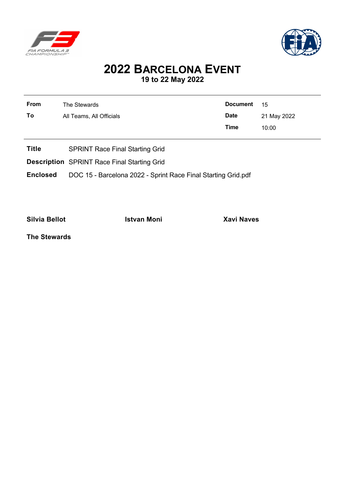



# **2022 BARCELONA EVENT 19 to 22 May 2022**

| <b>From</b><br>To | The Stewards<br>All Teams, All Officials | <b>Document</b><br><b>Date</b><br><b>Time</b> | 15<br>21 May 2022<br>10:00 |
|-------------------|------------------------------------------|-----------------------------------------------|----------------------------|
| <b>Title</b>      | <b>SPRINT Race Final Starting Grid</b>   |                                               |                            |

**Description** SPRINT Race Final Starting Grid

**Enclosed** DOC 15 - Barcelona 2022 - Sprint Race Final Starting Grid.pdf

**Silvia Bellot Istvan Moni Xavi Naves**

**The Stewards**